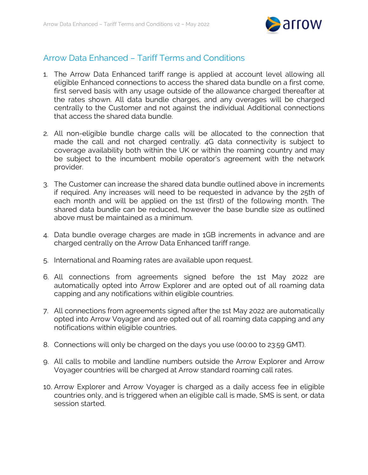

## Arrow Data Enhanced – Tariff Terms and Conditions

- 1. The Arrow Data Enhanced tariff range is applied at account level allowing all eligible Enhanced connections to access the shared data bundle on a first come, first served basis with any usage outside of the allowance charged thereafter at the rates shown. All data bundle charges, and any overages will be charged centrally to the Customer and not against the individual Additional connections that access the shared data bundle.
- 2. All non-eligible bundle charge calls will be allocated to the connection that made the call and not charged centrally. 4G data connectivity is subject to coverage availability both within the UK or within the roaming country and may be subject to the incumbent mobile operator's agreement with the network provider.
- 3. The Customer can increase the shared data bundle outlined above in increments if required. Any increases will need to be requested in advance by the 25th of each month and will be applied on the 1st (first) of the following month. The shared data bundle can be reduced, however the base bundle size as outlined above must be maintained as a minimum.
- 4. Data bundle overage charges are made in 1GB increments in advance and are charged centrally on the Arrow Data Enhanced tariff range.
- 5. International and Roaming rates are available upon request.
- 6. All connections from agreements signed before the 1st May 2022 are automatically opted into Arrow Explorer and are opted out of all roaming data capping and any notifications within eligible countries.
- 7. All connections from agreements signed after the 1st May 2022 are automatically opted into Arrow Voyager and are opted out of all roaming data capping and any notifications within eligible countries.
- 8. Connections will only be charged on the days you use (00:00 to 23:59 GMT).
- 9. All calls to mobile and landline numbers outside the Arrow Explorer and Arrow Voyager countries will be charged at Arrow standard roaming call rates.
- 10. Arrow Explorer and Arrow Voyager is charged as a daily access fee in eligible countries only, and is triggered when an eligible call is made, SMS is sent, or data session started.